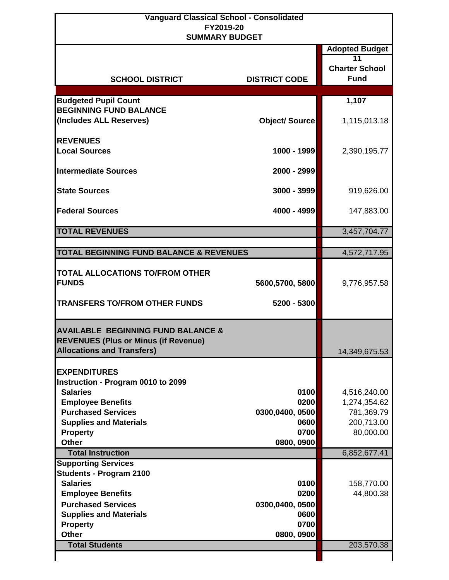| <b>Vanguard Classical School - Consolidated</b><br>FY2019-20 |                         |                                                                     |
|--------------------------------------------------------------|-------------------------|---------------------------------------------------------------------|
| <b>SUMMARY BUDGET</b><br><b>SCHOOL DISTRICT</b>              | <b>DISTRICT CODE</b>    | <b>Adopted Budget</b><br>11<br><b>Charter School</b><br><b>Fund</b> |
|                                                              |                         |                                                                     |
| <b>Budgeted Pupil Count</b>                                  |                         | 1,107                                                               |
| <b>BEGINNING FUND BALANCE</b><br>(Includes ALL Reserves)     | <b>Object/Source</b>    | 1,115,013.18                                                        |
|                                                              |                         |                                                                     |
| <b>REVENUES</b>                                              |                         |                                                                     |
| <b>Local Sources</b>                                         | 1000 - 1999             | 2,390,195.77                                                        |
|                                                              |                         |                                                                     |
| <b>Intermediate Sources</b>                                  | 2000 - 2999             |                                                                     |
|                                                              |                         |                                                                     |
| <b>State Sources</b>                                         | 3000 - 3999             | 919,626.00                                                          |
|                                                              |                         |                                                                     |
| <b>Federal Sources</b>                                       | 4000 - 4999             | 147,883.00                                                          |
| <b>TOTAL REVENUES</b>                                        |                         | 3,457,704.77                                                        |
|                                                              |                         |                                                                     |
| <b>TOTAL BEGINNING FUND BALANCE &amp; REVENUES</b>           |                         | 4,572,717.95                                                        |
|                                                              |                         |                                                                     |
| TOTAL ALLOCATIONS TO/FROM OTHER                              |                         |                                                                     |
| <b>FUNDS</b>                                                 | 5600,5700, 5800         | 9,776,957.58                                                        |
|                                                              |                         |                                                                     |
| <b>TRANSFERS TO/FROM OTHER FUNDS</b>                         | 5200 - 5300             |                                                                     |
|                                                              |                         |                                                                     |
| <b>AVAILABLE BEGINNING FUND BALANCE &amp;</b>                |                         |                                                                     |
| <b>REVENUES (Plus or Minus (if Revenue)</b>                  |                         |                                                                     |
| <b>Allocations and Transfers)</b>                            |                         | 14,349,675.53                                                       |
|                                                              |                         |                                                                     |
| <b>EXPENDITURES</b>                                          |                         |                                                                     |
| Instruction - Program 0010 to 2099                           |                         |                                                                     |
| <b>Salaries</b>                                              | 0100                    | 4,516,240.00                                                        |
| <b>Employee Benefits</b>                                     | 0200                    | 1,274,354.62                                                        |
| <b>Purchased Services</b>                                    | 0300,0400, 0500<br>0600 | 781,369.79                                                          |
| <b>Supplies and Materials</b><br><b>Property</b>             | 0700                    | 200,713.00<br>80,000.00                                             |
| <b>Other</b>                                                 | 0800, 0900              |                                                                     |
| <b>Total Instruction</b>                                     |                         | 6,852,677.41                                                        |
| <b>Supporting Services</b>                                   |                         |                                                                     |
| <b>Students - Program 2100</b>                               |                         |                                                                     |
| <b>Salaries</b>                                              | 0100                    | 158,770.00                                                          |
|                                                              | 0200                    | 44,800.38                                                           |
| <b>Employee Benefits</b>                                     |                         |                                                                     |
| <b>Purchased Services</b>                                    | 0300,0400, 0500         |                                                                     |
| <b>Supplies and Materials</b>                                | 0600                    |                                                                     |
| <b>Property</b>                                              | 0700                    |                                                                     |
| <b>Other</b><br><b>Total Students</b>                        | 0800, 0900              | 203,570.38                                                          |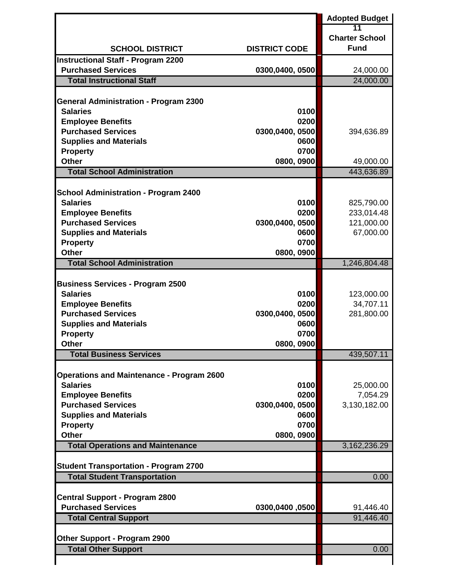|                                                            |                      | <b>Adopted Budget</b> |
|------------------------------------------------------------|----------------------|-----------------------|
|                                                            |                      | 11                    |
|                                                            |                      | <b>Charter School</b> |
| <b>SCHOOL DISTRICT</b>                                     | <b>DISTRICT CODE</b> | <b>Fund</b>           |
| <b>Instructional Staff - Program 2200</b>                  |                      |                       |
| <b>Purchased Services</b>                                  | 0300,0400, 0500      | 24,000.00             |
| <b>Total Instructional Staff</b>                           |                      | 24,000.00             |
| <b>General Administration - Program 2300</b>               |                      |                       |
| <b>Salaries</b>                                            | 0100                 |                       |
| <b>Employee Benefits</b>                                   | 0200                 |                       |
| <b>Purchased Services</b>                                  | 0300,0400, 0500      | 394,636.89            |
| <b>Supplies and Materials</b>                              | 0600                 |                       |
| <b>Property</b>                                            | 0700                 |                       |
| <b>Other</b>                                               | 0800, 0900           | 49,000.00             |
| <b>Total School Administration</b>                         |                      | 443,636.89            |
|                                                            |                      |                       |
| <b>School Administration - Program 2400</b>                |                      |                       |
| <b>Salaries</b>                                            | 0100                 | 825,790.00            |
| <b>Employee Benefits</b>                                   | 0200                 | 233,014.48            |
| <b>Purchased Services</b>                                  | 0300,0400, 0500      | 121,000.00            |
| <b>Supplies and Materials</b>                              | 0600                 | 67,000.00             |
| <b>Property</b>                                            | 0700                 |                       |
| <b>Other</b>                                               | 0800, 0900           |                       |
| <b>Total School Administration</b>                         |                      | 1,246,804.48          |
|                                                            |                      |                       |
| <b>Business Services - Program 2500</b><br><b>Salaries</b> | 0100                 | 123,000.00            |
| <b>Employee Benefits</b>                                   | 0200                 | 34,707.11             |
| <b>Purchased Services</b>                                  | 0300,0400, 0500      | 281,800.00            |
| <b>Supplies and Materials</b>                              | 0600                 |                       |
| <b>Property</b>                                            | 0700                 |                       |
| Other                                                      | 0800, 0900           |                       |
| <b>Total Business Services</b>                             |                      | 439,507.11            |
|                                                            |                      |                       |
| <b>Operations and Maintenance - Program 2600</b>           |                      |                       |
| <b>Salaries</b>                                            | 0100                 | 25,000.00             |
| <b>Employee Benefits</b>                                   | 0200                 | 7,054.29              |
| <b>Purchased Services</b>                                  | 0300,0400, 0500      | 3,130,182.00          |
| <b>Supplies and Materials</b>                              | 0600                 |                       |
| <b>Property</b>                                            | 0700                 |                       |
| <b>Other</b>                                               | 0800, 0900           |                       |
| <b>Total Operations and Maintenance</b>                    |                      | 3, 162, 236. 29       |
| <b>Student Transportation - Program 2700</b>               |                      |                       |
| <b>Total Student Transportation</b>                        |                      | 0.00                  |
|                                                            |                      |                       |
| <b>Central Support - Program 2800</b>                      |                      |                       |
| <b>Purchased Services</b>                                  | 0300,0400,0500       | 91,446.40             |
| <b>Total Central Support</b>                               |                      | 91,446.40             |
|                                                            |                      |                       |
| <b>Other Support - Program 2900</b>                        |                      |                       |
| <b>Total Other Support</b>                                 |                      | 0.00                  |
|                                                            |                      |                       |